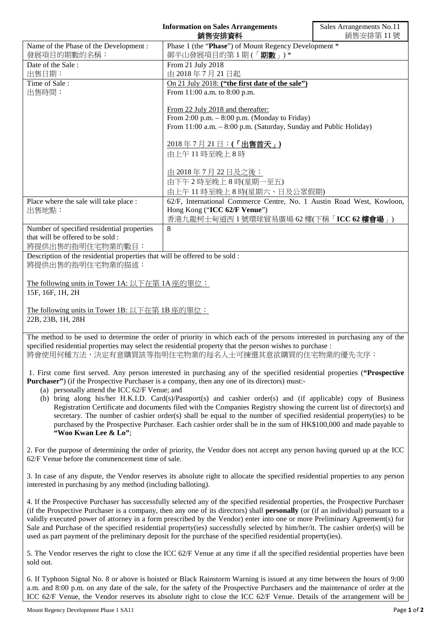|                                                                                                                           | <b>Information on Sales Arrangements</b><br>銷售安排資料                    | Sales Arrangements No.11<br>銷售安排第11號 |
|---------------------------------------------------------------------------------------------------------------------------|-----------------------------------------------------------------------|--------------------------------------|
| Name of the Phase of the Development :                                                                                    | Phase 1 (the "Phase") of Mount Regency Development *                  |                                      |
| 發展項目的期數的名稱:                                                                                                               | 御半山發展項目的第1期(「期數」)*                                                    |                                      |
| Date of the Sale:                                                                                                         | From 21 July 2018                                                     |                                      |
| 出售日期:                                                                                                                     | 由 2018年7月21日起                                                         |                                      |
| Time of Sale:                                                                                                             | On 21 July 2018: ("the first date of the sale")                       |                                      |
| 出售時間:                                                                                                                     | From 11:00 a.m. to 8:00 p.m.                                          |                                      |
|                                                                                                                           | From 22 July 2018 and thereafter:                                     |                                      |
|                                                                                                                           | From 2:00 p.m. $-8:00$ p.m. (Monday to Friday)                        |                                      |
|                                                                                                                           | From 11:00 a.m. - 8:00 p.m. (Saturday, Sunday and Public Holiday)     |                                      |
|                                                                                                                           | 2018年7月21日:(「出售首天」)                                                   |                                      |
|                                                                                                                           | 由上午11時至晚上8時                                                           |                                      |
|                                                                                                                           |                                                                       |                                      |
|                                                                                                                           | 由 2018年7月22日及之後:                                                      |                                      |
|                                                                                                                           | 由下午2時至晚上8時(星期一至五)                                                     |                                      |
|                                                                                                                           | 由上午11時至晚上8時(星期六、日及公眾假期)                                               |                                      |
| Place where the sale will take place :                                                                                    | 62/F, International Commerce Centre, No. 1 Austin Road West, Kowloon, |                                      |
| 出售地點:                                                                                                                     | Hong Kong ("ICC 62/F Venue")                                          |                                      |
|                                                                                                                           | 香港九龍柯士甸道西1號環球貿易廣場 62樓(下稱「ICC 62樓會場」)                                  |                                      |
| Number of specified residential properties                                                                                | 8                                                                     |                                      |
| that will be offered to be sold :                                                                                         |                                                                       |                                      |
| 將提供出售的指明住宅物業的數目:                                                                                                          |                                                                       |                                      |
| Description of the residential properties that will be offered to be sold :                                               |                                                                       |                                      |
| 將提供出售的指明住宅物業的描述:                                                                                                          |                                                                       |                                      |
|                                                                                                                           |                                                                       |                                      |
| The following units in Tower 1A: 以下在第 1A 座的單位:                                                                            |                                                                       |                                      |
| 15F, 16F, 1H, 2H                                                                                                          |                                                                       |                                      |
|                                                                                                                           |                                                                       |                                      |
| The following units in Tower 1B: 以下在第 1B 座的單位:                                                                            |                                                                       |                                      |
| 22B, 23B, 1H, 28H                                                                                                         |                                                                       |                                      |
| The method to be used to determine the order of priority in which each of the persons interested in purchasing any of the |                                                                       |                                      |

d to be used to determine the order of priority in which each of the persons interested in purchasing any of the specified residential properties may select the residential property that the person wishes to purchase : 將會使用何種方法,決定有意購買該等指明住宅物業的每名人士可揀選其意欲購買的住宅物業的優先次序:

1. First come first served. Any person interested in purchasing any of the specified residential properties (**"Prospective Purchaser"**) (if the Prospective Purchaser is a company, then any one of its directors) must:-

- (a) personally attend the ICC 62/F Venue; and
- (b) bring along his/her H.K.I.D. Card(s)/Passport(s) and cashier order(s) and (if applicable) copy of Business Registration Certificate and documents filed with the Companies Registry showing the current list of director(s) and secretary. The number of cashier order(s) shall be equal to the number of specified residential property(ies) to be purchased by the Prospective Purchaser. Each cashier order shall be in the sum of HK\$100,000 and made payable to **"Woo Kwan Lee & Lo"**;

2. For the purpose of determining the order of priority, the Vendor does not accept any person having queued up at the ICC 62/F Venue before the commencement time of sale.

3. In case of any dispute, the Vendor reserves its absolute right to allocate the specified residential properties to any person interested in purchasing by any method (including balloting).

4. If the Prospective Purchaser has successfully selected any of the specified residential properties, the Prospective Purchaser (if the Prospective Purchaser is a company, then any one of its directors) shall **personally** (or (if an individual) pursuant to a validly executed power of attorney in a form prescribed by the Vendor) enter into one or more Preliminary Agreement(s) for Sale and Purchase of the specified residential property(ies) successfully selected by him/her/it. The cashier order(s) will be used as part payment of the preliminary deposit for the purchase of the specified residential property(ies).

5. The Vendor reserves the right to close the ICC 62/F Venue at any time if all the specified residential properties have been sold out.

6. If Typhoon Signal No. 8 or above is hoisted or Black Rainstorm Warning is issued at any time between the hours of 9:00 a.m. and 8:00 p.m. on any date of the sale, for the safety of the Prospective Purchasers and the maintenance of order at the ICC 62/F Venue, the Vendor reserves its absolute right to close the ICC 62/F Venue. Details of the arrangement will be